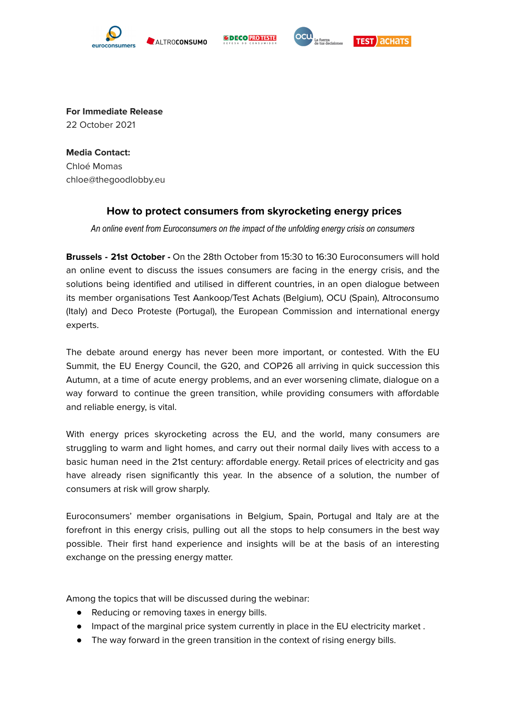

ALTROCONSUMO





**For Immediate Release** 22 October 2021

**Media Contact:** Chloé Momas chloe@thegoodlobby.eu

## **How to protect consumers from skyrocketing energy prices**

*An online event from Euroconsumers on the impact of the unfolding energy crisis on consumers*

**Brussels - 21st October -** On the 28th October from 15:30 to 16:30 Euroconsumers will hold an online event to discuss the issues consumers are facing in the energy crisis, and the solutions being identified and utilised in different countries, in an open dialogue between its member organisations Test Aankoop/Test Achats (Belgium), OCU (Spain), Altroconsumo (Italy) and Deco Proteste (Portugal), the European Commission and international energy experts.

The debate around energy has never been more important, or contested. With the EU Summit, the EU Energy Council, the G20, and COP26 all arriving in quick succession this Autumn, at a time of acute energy problems, and an ever worsening climate, dialogue on a way forward to continue the green transition, while providing consumers with affordable and reliable energy, is vital.

With energy prices skyrocketing across the EU, and the world, many consumers are struggling to warm and light homes, and carry out their normal daily lives with access to a basic human need in the 21st century: affordable energy. Retail prices of electricity and gas have already risen significantly this year. In the absence of a solution, the number of consumers at risk will grow sharply.

Euroconsumers' member organisations in Belgium, Spain, Portugal and Italy are at the forefront in this energy crisis, pulling out all the stops to help consumers in the best way possible. Their first hand experience and insights will be at the basis of an interesting exchange on the pressing energy matter.

Among the topics that will be discussed during the webinar:

- Reducing or removing taxes in energy bills.
- Impact of the marginal price system currently in place in the EU electricity market .
- The way forward in the green transition in the context of rising energy bills.